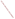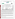## **THE ENVIRONMENTAL TECHNOLOGY VERIFICATION**







# **ETV Joint Verification Statement**

|                     | TECHNOLOGY TYPE: PORTABLE EMISSION ANALYZER                  |                              |                              |
|---------------------|--------------------------------------------------------------|------------------------------|------------------------------|
| <b>APPLICATION:</b> | DETERMINING NITROGEN OXIDES EMISSIONS                        |                              |                              |
|                     | TECHNOLOGY NAME: 7000 Vario Plus Portable Emissions Analyzer |                              |                              |
| <b>COMPANY:</b>     | <b>COSA Instruments Corp.</b>                                |                              |                              |
| <b>ADDRESS:</b>     | 55 Oak Street<br>Norwood, NJ 07648                           | <b>PHONE:</b><br><b>FAX:</b> | 201-767-6600<br>201-767-6804 |
| <b>WEB SITE:</b>    | http://www.cosa-instrument.com                               |                              |                              |
| E-MAIL:             | cosa@cosaic.com                                              |                              |                              |

The U.S. Environmental Protection Agency (EPA) has created the Environmental Technology Verification (ETV) Program to facilitate the deployment of innovative or improved environmental technologies through performance verification and dissemination of information. The goal of the ETV Program is to further environmental protection by substantially accelerating the acceptance and use of improved and cost-effective technologies. ETV seeks to achieve this goal by providing high quality, peer reviewed data on technology performance to those involved in the design, distribution, financing, permitting, purchase, and use of environmental technologies.

ETV works in partnership with recognized standards and testing organizations; stakeholder groups which consist of buyers, vendor organizations, and permitters; and with the full participation of individual technology developers. The program evaluates the performance of innovative technologies by developing test plans that are responsive to the needs of stakeholders, conducting field or laboratory tests (as appropriate), collecting and analyzing data, and preparing peer reviewed reports. All evaluations are conducted in accordance with rigorous quality assurance protocols to ensure that data of known and adequate quality are generated and that the results are defensible.

The Advanced Monitoring Systems (AMS) Center, one of 12 technology areas under ETV, is operated by Battelle in cooperation with EPA's National Exposure Research Laboratory. AMS has recently evaluated the performance of portable nitrogen oxides monitors used to determine emissions from combustion sources. This verification statement provides a summary of the test results for the COSA 7000 Vario Plus Portable Emission Analyzer.

### **VERIFICATION TEST DESCRIPTION**

The verification test described in this report was one of a series of tests conducted in April and May 2000 on commercial portable nitrogen oxides analyzers at Battelle's facilities in Columbus, Ohio. Verification testing of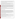the analyzers involved (1) a series of laboratory tests in which certified NO and NO<sub>2</sub> standards were used to challenge the analyzers over a wide concentration range and (2) tests using realistic combustion sources, in which data from the portable analyzers undergoing testing were compared to simultaneous measurements of NO and NO<sub>y</sub> obtained with two chemiluminescent analyzers.

Verification testing lasted three to four days, of which two days were required for laboratory testing and the remainder for source emissions testing. To assess inter-unit variability, two identical analyzers were tested simultaneously in all tests, and results from the two analyzers were kept separate. The analyzers were operated at all times by a representative of COSA and supervised at all times by Battelle staff.

Verification testing focused on measurement of NO and  $NO<sub>2</sub>$ , the sum of which is denoted as  $NO<sub>x</sub>$ . Laboratory testing included a linearity test over the entire nominal ranges of the analyzers for both NO and  $NO<sub>2</sub>$ ; estimation of detection limits and response times; interference testing; assessment of sample pressure and ambient temperature effects on analyzer response; and evaluation of zero and span drift during the various laboratory tests. Tests with combustion sources assessed the accuracy of NO,  $NO<sub>2</sub>$ , and  $NO<sub>x</sub>$  measurements, relative to the chemiluminescent NO/NO<sub>x</sub> approach that is the basis of EPA Method 7E. Sources used in the testing were a gas-fired rangetop burner, a gas-fired water heater, and a diesel-powered electrical generator operated at both idle and at high RPM. These sources produced  $NO<sub>x</sub>$  emissions ranging from less than 10 to over 400 ppm. Zero and span drift resulting from exposure to source emissions were assessed, and analyzer stability was monitored during one hour of uninterrupted sampling of diesel emissions.

Quality assurance (QA) oversight of verification testing was provided by Battelle. Battelle independent QA staff conducted a technical systems audit, a performance evaluation audit, and a data quality audit of 10% of the test data. Battelle testing staff conducted a performance evaluation audit, which was reviewed by independent QA staff.

#### **TECHNOLOGY DESCRIPTION**

The COSA 7000 Vario Plus measures  $O_2$ , CO, NO, NO<sub>2</sub>, and SO<sub>2</sub> emissions from a variety of combustion sources, including boilers, incinerators, and internal combustion engines. The COSA 7000 Vario Plus uses electrochemical sensors to measure gas and ambient temperatures and stack draft. Calculated parameters include carbon dioxide, combustion efficiency, excess air, and flue gas losses. A customized hard copy of the measurements can be printed out, or up to 300 complete combustion tests can be stored to be downloaded to a PC. The COSA 7000 Vario Plus also includes a complete sample conditioning system with a heated sample gas hose, sample gas cooler, and condensate removal system. The Vario Plus dimensions are 22" x 13" x 8.5" and it weighs 30 pounds. Options include flow measurement; soot measurement; automatic remote, unattended measurement with data logging; 4 to 20mA DC outputs; and remote handheld interface, printer, or keyboard.

#### **VERIFICATION OF PERFORMANCE**

**Linearity:** The COSA Instruments 7000 Vario Plus analyzers provided linear response for NO<sub>2</sub> over the tested range of 0 to 512 ppm. Response for NO was linear over the range of 0 to at least 1,500 ppm, but showed a slightly low response at the maximum tested level of 2,000 ppm. Over the full tested range of 0 to 2,000 ppm NO, the regression slope of NO response was approximately 0.98.

**Detection Limit:** Detection limits estimated from these wide-range linearity tests were 3 to 4 ppm for NO and 2 to 4 ppm for  $NO<sub>2</sub>$ . It is possible that these results were influenced by exposures to high levels of NO and  $NO<sub>2</sub>$  in the linearity tests. Performance in combustion source tests suggested detection capabilities comparable to the 1-ppm measurement resolution of the analyzers.

**Response Time:** Response times were 37 seconds for NO and about 80 seconds for NO<sub>2</sub>.